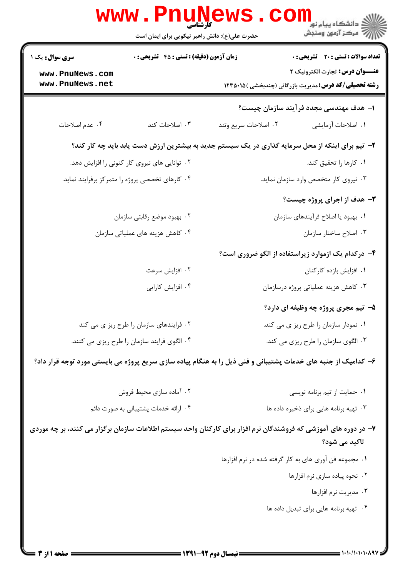|                                                 | WWW.Pnung<br>حضرت علی(ع): دانش راهبر نیکویی برای ایمان است | د دانشگاه پيام نور<br>اچ دانشگاه پيام نور<br>اچ مرکز آزمون وسنجش                                                |                                              |
|-------------------------------------------------|------------------------------------------------------------|-----------------------------------------------------------------------------------------------------------------|----------------------------------------------|
| <b>سری سوال :</b> یک ۱                          | زمان آزمون (دقیقه) : تستی : 45 آتشریحی : 0                 |                                                                                                                 | <b>تعداد سوالات : تستی : 20 ٪ تشریحی : 0</b> |
| www.PnuNews.com<br>www.PnuNews.net              |                                                            | عنـــوان درس: تجارت الكترونيك ٢<br><b>رشته تحصیلی/کد درس:</b> مدیریت بازرگانی (چندبخشی )۱۲۳۵۰۱۵                 |                                              |
|                                                 |                                                            | ۱– هدف مهندسی مجدد فرآیند سازمان چیست؟                                                                          |                                              |
| ۰۴ عدم اصلاحات                                  | ۰۳ اصلاحات کند                                             | ۰۲ اصلاحات سریع وتند                                                                                            | ٠١. اصلاحات أزمايشي                          |
|                                                 |                                                            | ۲- تیم برای اینکه از محل سرمایه گذاری در یک سیستم جدید به بیشترین ارزش دست یابد باید چه کار کند؟                |                                              |
| ۰۲ توانایی های نیروی کار کنونی را افزایش دهد.   |                                                            | ٠١ كارها را تحقيق كند.                                                                                          |                                              |
| ۰۴ کارهای تخصصی پروژه را متمرکز برفرایند نماید. |                                                            | ۰۳ نیروی کار متخصص وارد سازمان نماید.                                                                           |                                              |
|                                                 |                                                            | - هدف از اجرای پروژه چیست »                                                                                     |                                              |
| ۰۲ بهبود موضع رقابتي سازمان                     |                                                            | ٠١. بهبود يا اصلاح فرآيندهاي سازمان                                                                             |                                              |
| ۰۴ کاهش هزینه های عملیاتی سازمان                |                                                            | ۰۳ اصلاح ساختار سازمان                                                                                          |                                              |
|                                                 |                                                            | ۴- درکدام یک ازموارد زیراستفاده از الگو ضروری است؟                                                              |                                              |
|                                                 | ۰۲ افزایش سرعت                                             | ٠١. افزايش بازده كاركنان                                                                                        |                                              |
| ۰۴ افزایش کارایی                                |                                                            | ۰۳ کاهش هزینه عملیاتی پروژه درسازمان                                                                            |                                              |
|                                                 |                                                            | ۵- تیم مجری پروژه چه وظیفه ای دارد؟                                                                             |                                              |
| ۰۲ فرایندهای سازمان را طرح ریز ی می کند         |                                                            | ۰۱ نمودار سازمان را طرح ریز ی می کند.                                                                           |                                              |
| ۰۴ الگوی فرایند سازمان را طرح ریزی می کنند.     |                                                            | ۰۳ الگوی سازمان را طرح ریزی می کند.                                                                             |                                              |
|                                                 |                                                            | ۶- کدامیک از جنبه های خدمات پشتیبانی و فنی ذیل را به هنگام پیاده سازی سریع پروژه می بایستی مورد توجه قرار داد؟  |                                              |
| ۰۲ آماده سازی محیط فروش                         |                                                            | ٠١ حمايت از تيم برنامه نويسي                                                                                    |                                              |
| ۰۴ ارائه خدمات پشتیبانی به صورت دائم            |                                                            | ۰۳ تهیه برنامه هایی برای ذخیره داده ها                                                                          |                                              |
|                                                 |                                                            | ۷– در دوره های آموزشی که فروشندگان نرم افزار برای کارکنان واحد سیستم اطلاعات سازمان برگزار می کنند، بر چه موردی | تاکید می شود؟                                |
|                                                 |                                                            | ۰۱ مجموعه فن آوری های به کار گرفته شده در نرم افزارها                                                           |                                              |
|                                                 |                                                            | ۰۲ نحوه پیاده سازی نرم افزارها                                                                                  |                                              |
|                                                 |                                                            |                                                                                                                 | ۰۳ مدیریت نرم افزارها                        |
|                                                 |                                                            | ۰۴ تهیه برنامه هایی برای تبدیل داده ها                                                                          |                                              |
|                                                 |                                                            |                                                                                                                 |                                              |
| <b>: صفحه ۱ از 3</b>                            |                                                            | == نیمسال دوم 92-1391 ==                                                                                        | = ۱・۱・/۱・1・۱・۸۹۷ =                           |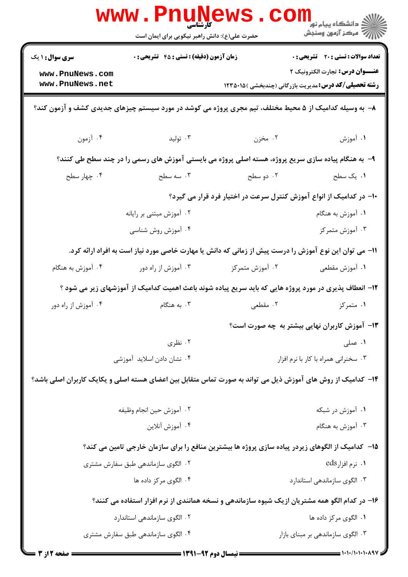|                                                                                                             | <b>www.PnuNews</b><br>کارشناسی<br>حضرت علی(ع): دانش راهبر نیکویی برای ایمان است                        |                                                                                                    | ر دانشڪاه پيام نور <mark>− ا</mark><br>  <i>  &gt;</i> مرکز آزمون وسنڊش                                |  |  |  |
|-------------------------------------------------------------------------------------------------------------|--------------------------------------------------------------------------------------------------------|----------------------------------------------------------------------------------------------------|--------------------------------------------------------------------------------------------------------|--|--|--|
| <b>سری سوال : ۱ یک</b>                                                                                      | <b>زمان آزمون (دقیقه) : تستی : 45 تشریحی : 0</b>                                                       |                                                                                                    | <b>تعداد سوالات : تستی : 20 - تشریحی : 0</b>                                                           |  |  |  |
| www.PnuNews.com<br>www.PnuNews.net                                                                          |                                                                                                        |                                                                                                    | <b>عنـــوان درس:</b> تجارت الكترونيك ٢<br><b>رشته تحصیلی/کد درس:</b> مدیریت بازرگانی (چندبخشی )۱۲۳۵۰۱۵ |  |  |  |
| ۸– به وسیله کدامیک از ۵ محیط مختلف، تیم مجری پروژه می کوشد در مورد سیستم چیزهای جدیدی کشف و آزمون کند؟      |                                                                                                        |                                                                                                    |                                                                                                        |  |  |  |
| ۰۴ أزمون                                                                                                    | ۰۳ تولید                                                                                               | ۰۲ مخزن                                                                                            | ۰۱ آموزش                                                                                               |  |  |  |
|                                                                                                             |                                                                                                        | ۹- به هنگام پیاده سازی سریع پروژه، هسته اصلی پروژه می بایستی آموزش های رسمی را در چند سطح طی کنند؟ |                                                                                                        |  |  |  |
| ۰۴ چهار سطح                                                                                                 | ۰۳ سه سطح                                                                                              | ۲. دو سطح                                                                                          | ۰۱ یک سطح                                                                                              |  |  |  |
| ۱۰– در کدامیک از انواع آموزش کنترل سرعت در اختیار فرد قرار می گیرد؟                                         |                                                                                                        |                                                                                                    |                                                                                                        |  |  |  |
|                                                                                                             | ۰۲ آموزش مبتنی بر رایانه                                                                               |                                                                                                    | ۰۱ آموزش به هنگام                                                                                      |  |  |  |
|                                                                                                             | ۰۴ آموزش روش شناسی                                                                                     |                                                                                                    | ۰۳ آموزش متمرکز                                                                                        |  |  |  |
| 11– می توان این نوع آموزش را درست پیش از زمانی که دانش یا مهارت خاصی مورد نیاز است به افراد ارائه کرد.      |                                                                                                        |                                                                                                    |                                                                                                        |  |  |  |
| ۰۴ آموزش به هنگام                                                                                           | ۰۳ آموزش از راه دور                                                                                    | ۰۲ آموزش متمرکز                                                                                    | ۰۱ آموزش مقطعی                                                                                         |  |  |  |
|                                                                                                             | ۱۲– انعطاف پذیری در مورد پروژه هایی که باید سریع پیاده شوند باعث اهمیت کدامیک از آموزشهای زیر می شود ؟ |                                                                                                    |                                                                                                        |  |  |  |
| ۰۴ آموزش از راه دور                                                                                         | ۰۳ به هنگام                                                                                            | ۰۲ مقطعی                                                                                           | ۰۱ متمرکز                                                                                              |  |  |  |
|                                                                                                             |                                                                                                        |                                                                                                    | ۱۳- آموزش کاربران نهایی بیشتر به چه صورت است؟                                                          |  |  |  |
|                                                                                                             | ۰۲ نظری                                                                                                |                                                                                                    | ۰۱ عملی                                                                                                |  |  |  |
| ۰۴ نشان دادن اسلاید آموزشی                                                                                  |                                                                                                        | ۰۳ سخنرانی همراه با کار با نرم افزار                                                               |                                                                                                        |  |  |  |
| ۱۴– کدامیک از روش های آموزش ذیل می تواند به صورت تماس متقابل بین اعضای هسته اصلی و یکایک کاربران اصلی باشد؟ |                                                                                                        |                                                                                                    |                                                                                                        |  |  |  |
|                                                                                                             | ٠٢ آموزش حين انجام وظيفه                                                                               |                                                                                                    | ۰۱ آموزش در شبکه                                                                                       |  |  |  |
|                                                                                                             | ۰۴ آموزش آنلاين                                                                                        |                                                                                                    | ۰۳ آموزش به هنگام                                                                                      |  |  |  |
| ۱۵– کدامیک از الگوهای زیردر پیاده سازی پروژه ها بیشترین منافع را برای سازمان خارجی تامین می کند؟            |                                                                                                        |                                                                                                    |                                                                                                        |  |  |  |
|                                                                                                             | ۰۲ الگوی سازماندهی طبق سفارش مشتری                                                                     |                                                                                                    | ۰۱ نرم افزارeds                                                                                        |  |  |  |
|                                                                                                             | ۰۴ الگوی مرکز داده ها                                                                                  |                                                                                                    | ۰۳ الگوی سازماندهی استاندارد                                                                           |  |  |  |
| ۱۶– در کدام الگو همه مشتریان ازیک شیوه سازماندهی و نسخه همانندی از نرم افزار استفاده می کنند؟               |                                                                                                        |                                                                                                    |                                                                                                        |  |  |  |
|                                                                                                             | ۰۲ الگوی سازماندهی استاندارد                                                                           |                                                                                                    | ۰۱ الگوی مرکز داده ها                                                                                  |  |  |  |
|                                                                                                             | ۰۴ الگوی سازماندهی طبق سفارش مشتری<br>۰۳ الگوی سازماندهی بر مبنای بازار                                |                                                                                                    |                                                                                                        |  |  |  |